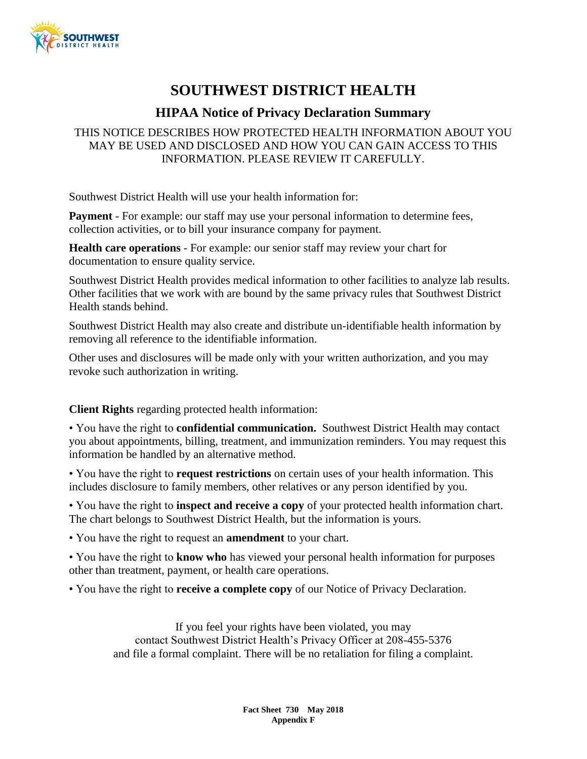

# **SOUTHWEST DISTRICT HEALTH**

### **HIPAA Notice of Privacy Declaration Summary**

#### THIS NOTICE DESCRIBES HOW PROTECTED HEALTH INFORMATION ABOUT YOU MAY BE USED AND DISCLOSED AND HOW YOU CAN GAIN ACCESS TO THIS INFORMATION. PLEASE REVIEW IT CAREFULLY.

Southwest District Health will use your health information for:

**Payment** - For example: our staff may use your personal information to determine fees, collection activities, or to bill your insurance company for payment.

**Health care operations** - For example: our senior staff may review your chart for documentation to ensure quality service.

Southwest District Health provides medical information to other facilities to analyze lab results. Other facilities that we work with are bound by the same privacy rules that Southwest District Health stands behind.

Southwest District Health may also create and distribute un-identifiable health information by removing all reference to the identifiable information.

Other uses and disclosures will be made only with your written authorization, and you may revoke such authorization in writing.

#### **Client Rights** regarding protected health information:

• You have the right to **confidential communication.** Southwest District Health may contact you about appointments, billing, treatment, and immunization reminders. You may request this information be handled by an alternative method.

• You have the right to **request restrictions** on certain uses of your health information. This includes disclosure to family members, other relatives or any person identified by you.

• You have the right to **inspect and receive a copy** of your protected health information chart. The chart belongs to Southwest District Health, but the information is yours.

• You have the right to request an **amendment** to your chart.

• You have the right to **know who** has viewed your personal health information for purposes other than treatment, payment, or health care operations.

• You have the right to **receive a complete copy** of our Notice of Privacy Declaration.

If you feel your rights have been violated, you may contact Southwest District Health's Privacy Officer at 208-455-5376 and file a formal complaint. There will be no retaliation for filing a complaint.